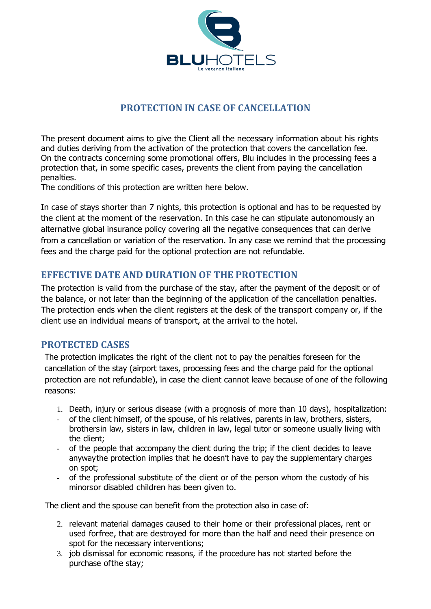

## **PROTECTION IN CASE OF CANCELLATION**

The present document aims to give the Client all the necessary information about his rights and duties deriving from the activation of the protection that covers the cancellation fee. On the contracts concerning some promotional offers, Blu includes in the processing fees a protection that, in some specific cases, prevents the client from paying the cancellation penalties.

The conditions of this protection are written here below.

In case of stays shorter than 7 nights, this protection is optional and has to be requested by the client at the moment of the reservation. In this case he can stipulate autonomously an alternative global insurance policy covering all the negative consequences that can derive from a cancellation or variation of the reservation. In any case we remind that the processing fees and the charge paid for the optional protection are not refundable.

## **EFFECTIVE DATE AND DURATION OF THE PROTECTION**

The protection is valid from the purchase of the stay, after the payment of the deposit or of the balance, or not later than the beginning of the application of the cancellation penalties. The protection ends when the client registers at the desk of the transport company or, if the client use an individual means of transport, at the arrival to the hotel.

### **PROTECTED CASES**

The protection implicates the right of the client not to pay the penalties foreseen for the cancellation of the stay (airport taxes, processing fees and the charge paid for the optional protection are not refundable), in case the client cannot leave because of one of the following reasons:

- 1. Death, injury or serious disease (with a prognosis of more than 10 days), hospitalization:
- of the client himself, of the spouse, of his relatives, parents in law, brothers, sisters, brothersin law, sisters in law, children in law, legal tutor or someone usually living with the client;
- of the people that accompany the client during the trip; if the client decides to leave anywaythe protection implies that he doesn't have to pay the supplementary charges on spot;
- of the professional substitute of the client or of the person whom the custody of his minorsor disabled children has been given to.

The client and the spouse can benefit from the protection also in case of:

- 2. relevant material damages caused to their home or their professional places, rent or used forfree, that are destroyed for more than the half and need their presence on spot for the necessary interventions;
- 3. job dismissal for economic reasons, if the procedure has not started before the purchase ofthe stay;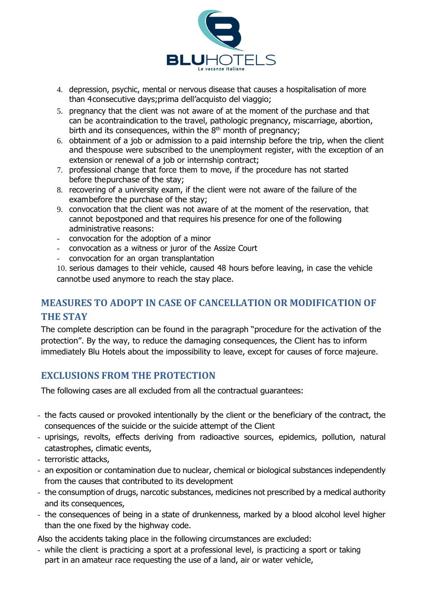

- 4. depression, psychic, mental or nervous disease that causes a hospitalisation of more than 4consecutive days;prima dell'acquisto del viaggio;
- 5. pregnancy that the client was not aware of at the moment of the purchase and that can be acontraindication to the travel, pathologic pregnancy, miscarriage, abortion, birth and its consequences, within the  $8<sup>th</sup>$  month of pregnancy;
- 6. obtainment of a job or admission to a paid internship before the trip, when the client and thespouse were subscribed to the unemployment register, with the exception of an extension or renewal of a job or internship contract:
- 7. professional change that force them to move, if the procedure has not started before thepurchase of the stay;
- 8. recovering of a university exam, if the client were not aware of the failure of the exambefore the purchase of the stay;
- 9. convocation that the client was not aware of at the moment of the reservation, that cannot bepostponed and that requires his presence for one of the following administrative reasons:
- convocation for the adoption of a minor
- convocation as a witness or juror of the Assize Court
- convocation for an organ transplantation

10. serious damages to their vehicle, caused 48 hours before leaving, in case the vehicle cannotbe used anymore to reach the stay place.

# **MEASURES TO ADOPT IN CASE OF CANCELLATION OR MODIFICATION OF THE STAY**

The complete description can be found in the paragraph "procedure for the activation of the protection". By the way, to reduce the damaging consequences, the Client has to inform immediately Blu Hotels about the impossibility to leave, except for causes of force majeure.

## **EXCLUSIONS FROM THE PROTECTION**

The following cases are all excluded from all the contractual guarantees:

- the facts caused or provoked intentionally by the client or the beneficiary of the contract, the consequences of the suicide or the suicide attempt of the Client
- uprisings, revolts, effects deriving from radioactive sources, epidemics, pollution, natural catastrophes, climatic events,
- terroristic attacks,
- an exposition or contamination due to nuclear, chemical or biological substances independently from the causes that contributed to its development
- the consumption of drugs, narcotic substances, medicines not prescribed by a medical authority and its consequences,
- the consequences of being in a state of drunkenness, marked by a blood alcohol level higher than the one fixed by the highway code.

Also the accidents taking place in the following circumstances are excluded:

- while the client is practicing a sport at a professional level, is practicing a sport or taking part in an amateur race requesting the use of a land, air or water vehicle,